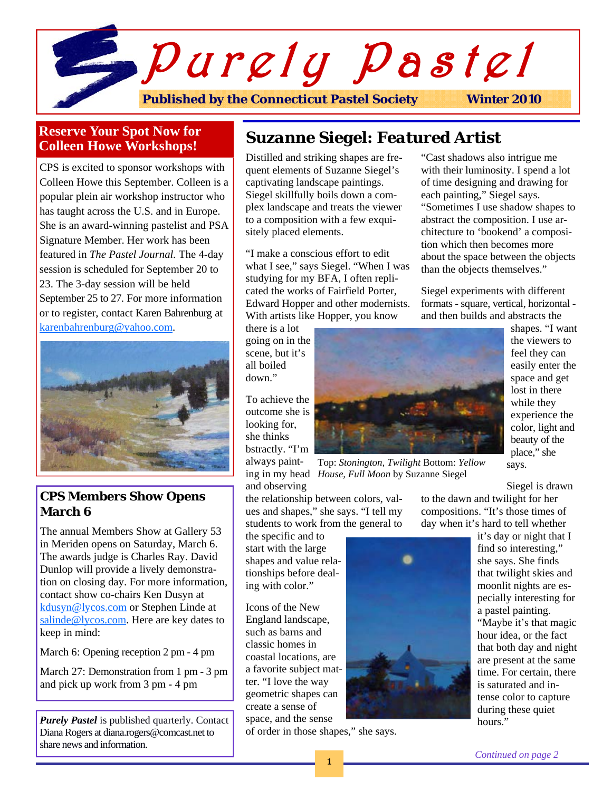

# **Reserve Your Spot Now for Colleen Howe Workshops!**

CPS is excited to sponsor workshops with Colleen Howe this September. Colleen is a popular plein air workshop instructor who has taught across the U.S. and in Europe. She is an award-winning pastelist and PSA Signature Member. Her work has been featured in *The Pastel Journal.* The 4-day session is scheduled for September 20 to 23. The 3-day session will be held September 25 to 27. For more information or to register, contact Karen Bahrenburg at karenbahrenburg@yahoo.com.



# **CPS Members Show Opens March 6**

The annual Members Show at Gallery 53 in Meriden opens on Saturday, March 6. The awards judge is Charles Ray. David Dunlop will provide a lively demonstration on closing day. For more information, contact show co-chairs Ken Dusyn at kdusyn@lycos.com or Stephen Linde at salinde@lycos.com. Here are key dates to keep in mind:

March 6: Opening reception 2 pm - 4 pm

March 27: Demonstration from 1 pm - 3 pm and pick up work from 3 pm - 4 pm

*Purely Pastel* is published quarterly. Contact Diana Rogers at diana.rogers@comcast.net to share news and information.

# *Suzanne Siegel: Featured Artist*

Distilled and striking shapes are frequent elements of Suzanne Siegel's captivating landscape paintings. Siegel skillfully boils down a complex landscape and treats the viewer to a composition with a few exquisitely placed elements.

"I make a conscious effort to edit what I see," says Siegel. "When I was studying for my BFA, I often replicated the works of Fairfield Porter, Edward Hopper and other modernists. With artists like Hopper, you know

there is a lot going on in the scene, but it's all boiled down."

To achieve the outcome she is looking for, she thinks bstractly. "I'm always paintand observing



ing in my head *House, Full Moon* by Suzanne Siegel Top: *Stonington, Twilight* Bottom: *Yellow* 

the relationship between colors, values and shapes," she says. "I tell my students to work from the general to

the specific and to start with the large shapes and value relationships before dealing with color."

Icons of the New England landscape, such as barns and classic homes in coastal locations, are a favorite subject matter. "I love the way geometric shapes can create a sense of space, and the sense

of order in those shapes," she says.

"Cast shadows also intrigue me with their luminosity. I spend a lot of time designing and drawing for each painting," Siegel says. "Sometimes I use shadow shapes to abstract the composition. I use architecture to 'bookend' a composition which then becomes more about the space between the objects than the objects themselves."

Siegel experiments with different formats - square, vertical, horizontal and then builds and abstracts the



Siegel is drawn

to the dawn and twilight for her compositions. "It's those times of day when it's hard to tell whether

> it's day or night that I find so interesting," she says. She finds that twilight skies and moonlit nights are especially interesting for a pastel painting. "Maybe it's that magic hour idea, or the fact

that both day and night are present at the same time. For certain, there is saturated and intense color to capture during these quiet hours."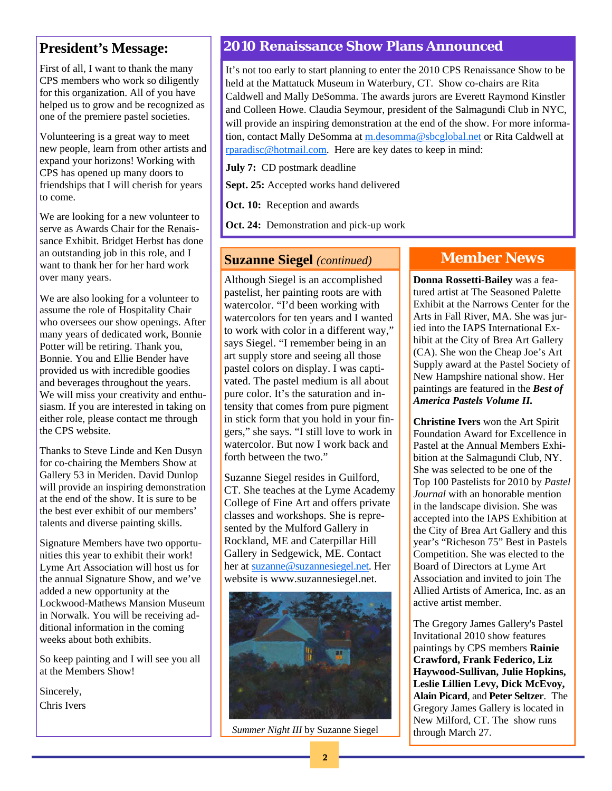# **President's Message:**

First of all, I want to thank the many CPS members who work so diligently for this organization. All of you have helped us to grow and be recognized as one of the premiere pastel societies.

Volunteering is a great way to meet new people, learn from other artists and expand your horizons! Working with CPS has opened up many doors to friendships that I will cherish for years to come.

We are looking for a new volunteer to serve as Awards Chair for the Renaissance Exhibit. Bridget Herbst has done an outstanding job in this role, and I want to thank her for her hard work over many years.

We are also looking for a volunteer to assume the role of Hospitality Chair who oversees our show openings. After many years of dedicated work, Bonnie Potter will be retiring. Thank you, Bonnie. You and Ellie Bender have provided us with incredible goodies and beverages throughout the years. We will miss your creativity and enthusiasm. If you are interested in taking on either role, please contact me through the CPS website.

Thanks to Steve Linde and Ken Dusyn for co-chairing the Members Show at Gallery 53 in Meriden. David Dunlop will provide an inspiring demonstration at the end of the show. It is sure to be the best ever exhibit of our members' talents and diverse painting skills.

Signature Members have two opportunities this year to exhibit their work! Lyme Art Association will host us for the annual Signature Show, and we've added a new opportunity at the Lockwood-Mathews Mansion Museum in Norwalk. You will be receiving additional information in the coming weeks about both exhibits.

So keep painting and I will see you all at the Members Show!

Sincerely, Chris Ivers

# **2010 Renaissance Show Plans Announced**

It's not too early to start planning to enter the 2010 CPS Renaissance Show to be held at the Mattatuck Museum in Waterbury, CT. Show co-chairs are Rita Caldwell and Mally DeSomma. The awards jurors are Everett Raymond Kinstler and Colleen Howe. Claudia Seymour, president of the Salmagundi Club in NYC, will provide an inspiring demonstration at the end of the show. For more information, contact Mally DeSomma at m.desomma@sbcglobal.net or Rita Caldwell at rparadisc@hotmail.com. Here are key dates to keep in mind:

**July 7:** CD postmark deadline

**Sept. 25:** Accepted works hand delivered

**Oct. 10:** Reception and awards

**Oct. 24:** Demonstration and pick-up work

## **Suzanne Siegel** *(continued)*

Although Siegel is an accomplished pastelist, her painting roots are with watercolor. "I'd been working with watercolors for ten years and I wanted to work with color in a different way," says Siegel. "I remember being in an art supply store and seeing all those pastel colors on display. I was captivated. The pastel medium is all about pure color. It's the saturation and intensity that comes from pure pigment in stick form that you hold in your fingers," she says. "I still love to work in watercolor. But now I work back and forth between the two."

Suzanne Siegel resides in Guilford, CT. She teaches at the Lyme Academy College of Fine Art and offers private classes and workshops. She is represented by the Mulford Gallery in Rockland, ME and Caterpillar Hill Gallery in Sedgewick, ME. Contact her at suzanne@suzannesiegel.net. Her website is www.suzannesiegel.net.



*Summer Night III* by Suzanne Siegel

# **Member News**

**Donna Rossetti-Bailey** was a featured artist at The Seasoned Palette Exhibit at the Narrows Center for the Arts in Fall River, MA. She was juried into the IAPS International Exhibit at the City of Brea Art Gallery (CA). She won the Cheap Joe's Art Supply award at the Pastel Society of New Hampshire national show. Her paintings are featured in the *Best of America Pastels Volume II.*

**Christine Ivers** won the Art Spirit Foundation Award for Excellence in Pastel at the Annual Members Exhibition at the Salmagundi Club, NY. She was selected to be one of the Top 100 Pastelists for 2010 by *Pastel Journal* with an honorable mention in the landscape division. She was accepted into the IAPS Exhibition at the City of Brea Art Gallery and this year's "Richeson 75" Best in Pastels Competition. She was elected to the Board of Directors at Lyme Art Association and invited to join The Allied Artists of America, Inc. as an active artist member.

The Gregory James Gallery's Pastel Invitational 2010 show features paintings by CPS members **Rainie Crawford, Frank Federico, Liz Haywood-Sullivan, Julie Hopkins, Leslie Lillien Levy, Dick McEvoy, Alain Picard**, and **Peter Seltzer**. The Gregory James Gallery is located in New Milford, CT. The show runs through March 27.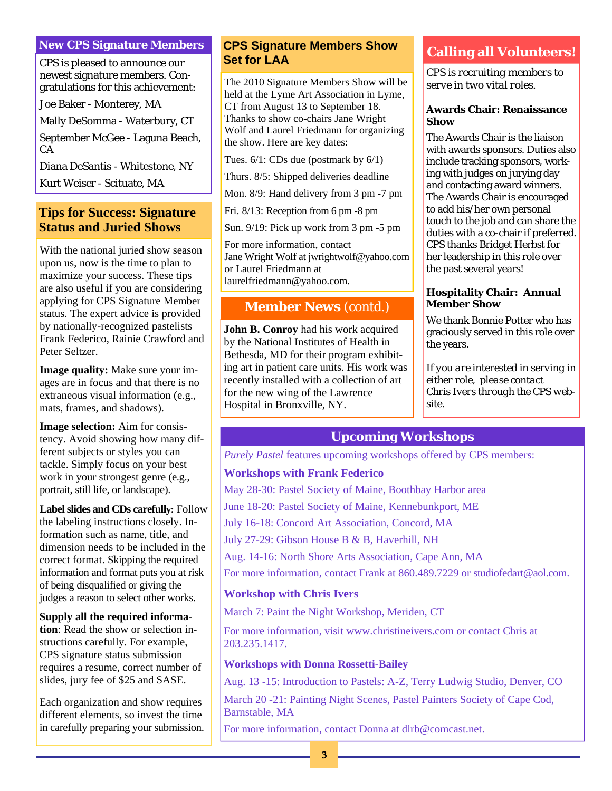#### **New CPS Signature Members**

CPS is pleased to announce our newest signature members. Congratulations for this achievement:

Joe Baker - Monterey, MA

Mally DeSomma - Waterbury, CT

September McGee - Laguna Beach, CA

Diana DeSantis - Whitestone, NY

Kurt Weiser - Scituate, MA

# **Tips for Success: Signature Status and Juried Shows**

With the national juried show season upon us, now is the time to plan to maximize your success. These tips are also useful if you are considering applying for CPS Signature Member status. The expert advice is provided by nationally-recognized pastelists Frank Federico, Rainie Crawford and Peter Seltzer.

**Image quality:** Make sure your images are in focus and that there is no extraneous visual information (e.g., mats, frames, and shadows).

**Image selection:** Aim for consistency. Avoid showing how many different subjects or styles you can tackle. Simply focus on your best work in your strongest genre (e.g., portrait, still life, or landscape).

**Label slides and CDs carefully:** Follow the labeling instructions closely. Information such as name, title, and dimension needs to be included in the correct format. Skipping the required information and format puts you at risk of being disqualified or giving the judges a reason to select other works.

#### **Supply all the required informa-**

**tion**: Read the show or selection instructions carefully. For example, CPS signature status submission requires a resume, correct number of slides, jury fee of \$25 and SASE.

Each organization and show requires different elements, so invest the time in carefully preparing your submission.

## **CPS Signature Members Show Calling all Volunteers! Set for LAA**

The 2010 Signature Members Show will be held at the Lyme Art Association in Lyme, CT from August 13 to September 18. Thanks to show co-chairs Jane Wright Wolf and Laurel Friedmann for organizing the show. Here are key dates:

Tues. 6/1: CDs due (postmark by 6/1)

Thurs. 8/5: Shipped deliveries deadline

Mon. 8/9: Hand delivery from 3 pm -7 pm

Fri. 8/13: Reception from 6 pm -8 pm

Sun. 9/19: Pick up work from 3 pm -5 pm

For more information, contact Jane Wright Wolf at jwrightwolf@yahoo.com or Laurel Friedmann at laurelfriedmann@yahoo.com.

## **Member News** (contd.)

**John B. Conroy** had his work acquired by the National Institutes of Health in Bethesda, MD for their program exhibiting art in patient care units. His work was recently installed with a collection of art for the new wing of the Lawrence Hospital in Bronxville, NY.

*CPS is recruiting members to serve in two vital roles.* 

#### **Awards Chair: Renaissance Show**

The Awards Chair is the liaison with awards sponsors. Duties also include tracking sponsors, working with judges on jurying day and contacting award winners. The Awards Chair is encouraged to add his/her own personal touch to the job and can share the duties with a co-chair if preferred. CPS thanks Bridget Herbst for her leadership in this role over the past several years!

#### **Hospitality Chair: Annual Member Show**

We thank Bonnie Potter who has graciously served in this role over the years.

*If you are interested in serving in either role, please contact Chris Ivers through the CPS website.* 

# **Upcoming Workshops**

*Purely Pastel features upcoming workshops offered by CPS members:* 

#### **Workshops with Frank Federico**

May 28-30: Pastel Society of Maine, Boothbay Harbor area

June 18-20: Pastel Society of Maine, Kennebunkport, ME

July 16-18: Concord Art Association, Concord, MA

July 27-29: Gibson House B & B, Haverhill, NH

Aug. 14-16: North Shore Arts Association, Cape Ann, MA

For more information, contact Frank at 860.489.7229 or studiofedart@aol.com.

#### **Workshop with Chris Ivers**

March 7: Paint the Night Workshop, Meriden, CT

For more information, visit www.christineivers.com or contact Chris at 203.235.1417.

#### **Workshops with Donna Rossetti-Bailey**

Aug. 13 -15: Introduction to Pastels: A-Z*,* Terry Ludwig Studio, Denver, CO March 20 -21: Painting Night Scenes, Pastel Painters Society of Cape Cod, Barnstable, MA

For more information, contact Donna at dlrb@comcast.net.